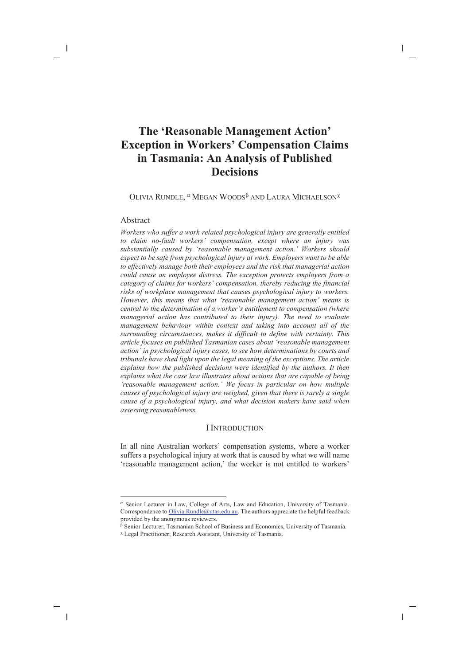# **The 'Reasonable Management Action' Exception in Workers' Compensation Claims in Tasmania: An Analysis of Published Decisions**

OLIVIA RUNDLE, <sup>α</sup> MEGAN WOODS<sup>β</sup> AND LAURA MICHAELSON<sup>χ</sup>

## Abstract

*Workers who suffer a work-related psychological injury are generally entitled to claim no-fault workers' compensation, except where an injury was substantially caused by 'reasonable management action.' Workers should expect to be safe from psychological injury at work. Employers want to be able to effectively manage both their employees and the risk that managerial action could cause an employee distress. The exception protects employers from a category of claims for workers' compensation, thereby reducing the financial risks of workplace management that causes psychological injury to workers. However, this means that what 'reasonable management action' means is central to the determination of a worker's entitlement to compensation (where managerial action has contributed to their injury). The need to evaluate management behaviour within context and taking into account all of the surrounding circumstances, makes it difficult to define with certainty. This article focuses on published Tasmanian cases about 'reasonable management action' in psychological injury cases, to see how determinations by courts and tribunals have shed light upon the legal meaning of the exceptions. The article explains how the published decisions were identified by the authors. It then explains what the case law illustrates about actions that are capable of being 'reasonable management action.' We focus in particular on how multiple causes of psychological injury are weighed, given that there is rarely a single cause of a psychological injury, and what decision makers have said when assessing reasonableness.*

#### I INTRODUCTION

In all nine Australian workers' compensation systems, where a worker suffers a psychological injury at work that is caused by what we will name 'reasonable management action,' the worker is not entitled to workers'

<sup>α</sup> Senior Lecturer in Law, College of Arts, Law and Education, University of Tasmania. Correspondence to Olivia.Rundle@utas.edu.au. The authors appreciate the helpful feedback provided by the anonymous reviewers.

<sup>β</sup> Senior Lecturer, Tasmanian School of Business and Economics, University of Tasmania.

<sup>χ</sup> Legal Practitioner; Research Assistant, University of Tasmania.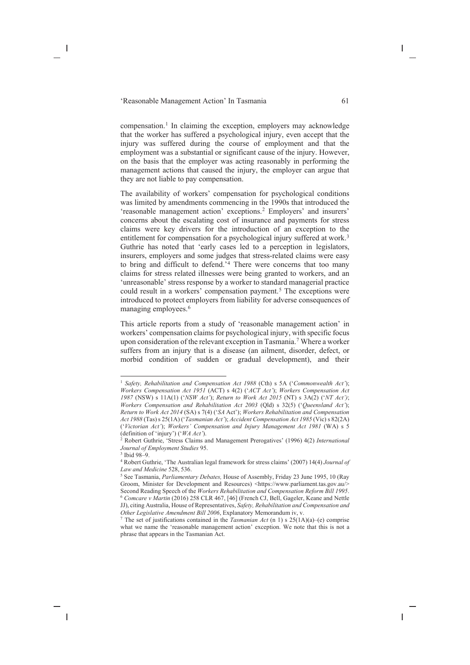compensation.1 In claiming the exception, employers may acknowledge that the worker has suffered a psychological injury, even accept that the injury was suffered during the course of employment and that the employment was a substantial or significant cause of the injury. However, on the basis that the employer was acting reasonably in performing the management actions that caused the injury, the employer can argue that they are not liable to pay compensation.

The availability of workers' compensation for psychological conditions was limited by amendments commencing in the 1990s that introduced the 'reasonable management action' exceptions.<sup>2</sup> Employers' and insurers' concerns about the escalating cost of insurance and payments for stress claims were key drivers for the introduction of an exception to the entitlement for compensation for a psychological injury suffered at work.<sup>3</sup> Guthrie has noted that 'early cases led to a perception in legislators, insurers, employers and some judges that stress-related claims were easy to bring and difficult to defend.'4 There were concerns that too many claims for stress related illnesses were being granted to workers, and an 'unreasonable' stress response by a worker to standard managerial practice could result in a workers' compensation payment.<sup>5</sup> The exceptions were introduced to protect employers from liability for adverse consequences of managing employees.<sup>6</sup>

This article reports from a study of 'reasonable management action' in workers' compensation claims for psychological injury, with specific focus upon consideration of the relevant exception in Tasmania.7 Where a worker suffers from an injury that is a disease (an ailment, disorder, defect, or morbid condition of sudden or gradual development), and their

<sup>&</sup>lt;sup>1</sup> *Safety, Rehabilitation and Compensation Act 1988* (Cth) s 5A ('*Commonwealth Act*'); *Workers Compensation Act 1951* (ACT) s 4(2) ('*ACT Act'*); *Workers Compensation Act 1987* (NSW) s 11A(1) ('*NSW Act'*); *Return to Work Act 2015* (NT) s 3A(2) ('*NT Act')*; *Workers Compensation and Rehabilitation Act 2003* (Qld) s 32(5) ('*Queensland Act'*); *Return to Work Act 2014* (SA) s 7(4) ('*SA* Act'); *Workers Rehabilitation and Compensation Act 1988* (Tas) s 25(1A) ('*Tasmanian Act'*); *Accident Compensation Act 1985* (Vic) s 82(2A) (*'Victorian Act'*); *Workers' Compensation and Injury Management Act 1981* (WA) s 5 (definition of 'injury') (*'WA Act'*).

<sup>&</sup>lt;sup>2</sup> Robert Guthrie, 'Stress Claims and Management Prerogatives' (1996) 4(2) *International Journal of Employment Studies* 95. 3 Ibid 98–9.

<sup>4</sup> Robert Guthrie, 'The Australian legal framework for stress claims' (2007) 14(4) *Journal of Law and Medicine* 528, 536.

<sup>5</sup> See Tasmania, *Parliamentary Debates,* House of Assembly, Friday 23 June 1995, 10 (Ray Groom, Minister for Development and Resources) <https://www.parliament.tas.gov.au/> Second Reading Speech of the *Workers Rehabilitation and Compensation Reform Bill <sup>1995</sup>*. 6 *Comcare v Martin* (2016) 258 CLR 467, [46] (French CJ, Bell, Gageler, Keane and Nettle JJ), citing Australia, House of Representatives, *Safety, Rehabilitation and Compensation and Other Legislative Amendment Bill 2006*, Explanatory Memorandum iv, v.

<sup>&</sup>lt;sup>7</sup> The set of justifications contained in the *Tasmanian Act* (n 1) s  $25(1A)(a)$ –(e) comprise what we name the 'reasonable management action' exception. We note that this is not a phrase that appears in the Tasmanian Act.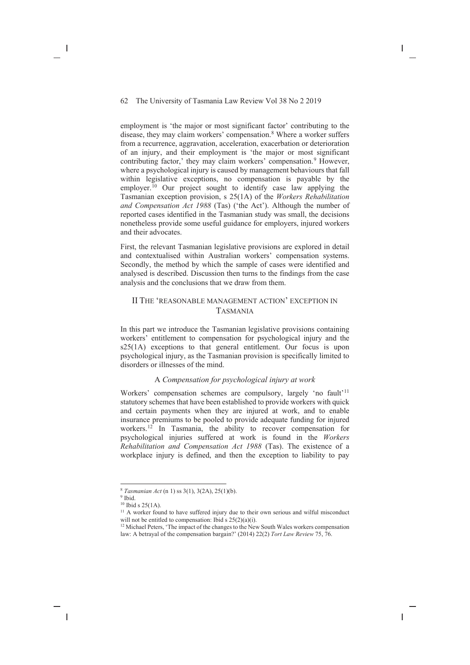employment is 'the major or most significant factor' contributing to the disease, they may claim workers' compensation.<sup>8</sup> Where a worker suffers from a recurrence, aggravation, acceleration, exacerbation or deterioration of an injury, and their employment is 'the major or most significant contributing factor,' they may claim workers' compensation.<sup>9</sup> However, where a psychological injury is caused by management behaviours that fall within legislative exceptions, no compensation is payable by the employer.<sup>10</sup> Our project sought to identify case law applying the Tasmanian exception provision, s 25(1A) of the *Workers Rehabilitation and Compensation Act 1988* (Tas) ('the Act'). Although the number of reported cases identified in the Tasmanian study was small, the decisions nonetheless provide some useful guidance for employers, injured workers and their advocates.

First, the relevant Tasmanian legislative provisions are explored in detail and contextualised within Australian workers' compensation systems. Secondly, the method by which the sample of cases were identified and analysed is described. Discussion then turns to the findings from the case analysis and the conclusions that we draw from them.

# II THE 'REASONABLE MANAGEMENT ACTION' EXCEPTION IN TASMANIA

In this part we introduce the Tasmanian legislative provisions containing workers' entitlement to compensation for psychological injury and the s25(1A) exceptions to that general entitlement. Our focus is upon psychological injury, as the Tasmanian provision is specifically limited to disorders or illnesses of the mind.

# A *Compensation for psychological injury at work*

Workers' compensation schemes are compulsory, largely 'no fault'11 statutory schemes that have been established to provide workers with quick and certain payments when they are injured at work, and to enable insurance premiums to be pooled to provide adequate funding for injured workers.12 In Tasmania, the ability to recover compensation for psychological injuries suffered at work is found in the *Workers Rehabilitation and Compensation Act 1988* (Tas). The existence of a workplace injury is defined, and then the exception to liability to pay

<sup>8</sup> *Tasmanian Act* (n 1) ss 3(1), 3(2A), 25(1)(b). 9 Ibid.

 $10$  Ibid s 25(1A).

<sup>&</sup>lt;sup>11</sup> A worker found to have suffered injury due to their own serious and wilful misconduct will not be entitled to compensation: Ibid s 25(2)(a)(i).

<sup>&</sup>lt;sup>12</sup> Michael Peters, 'The impact of the changes to the New South Wales workers compensation law: A betrayal of the compensation bargain?' (2014) 22(2) *Tort Law Review* 75, 76.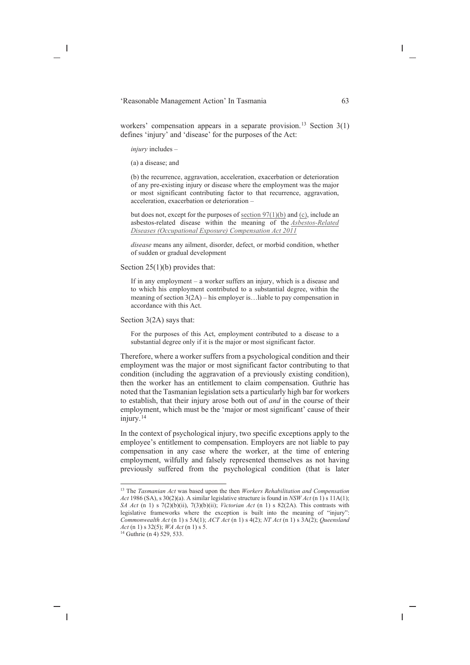workers' compensation appears in a separate provision.<sup>13</sup> Section 3(1) defines 'injury' and 'disease' for the purposes of the Act:

*injury* includes –

(a) a disease; and

(b) the recurrence, aggravation, acceleration, exacerbation or deterioration of any pre-existing injury or disease where the employment was the major or most significant contributing factor to that recurrence, aggravation, acceleration, exacerbation or deterioration –

but does not, except for the purposes of section  $97(1)(b)$  and (c), include an asbestos-related disease within the meaning of the *Asbestos-Related Diseases (Occupational Exposure) Compensation Act 2011*

*disease* means any ailment, disorder, defect, or morbid condition, whether of sudden or gradual development

Section 25(1)(b) provides that:

If in any employment – a worker suffers an injury, which is a disease and to which his employment contributed to a substantial degree, within the meaning of section 3(2A) – his employer is…liable to pay compensation in accordance with this Act.

Section 3(2A) says that:

For the purposes of this Act, employment contributed to a disease to a substantial degree only if it is the major or most significant factor.

Therefore, where a worker suffers from a psychological condition and their employment was the major or most significant factor contributing to that condition (including the aggravation of a previously existing condition), then the worker has an entitlement to claim compensation. Guthrie has noted that the Tasmanian legislation sets a particularly high bar for workers to establish, that their injury arose both out of *and* in the course of their employment, which must be the 'major or most significant' cause of their injury.14

In the context of psychological injury, two specific exceptions apply to the employee's entitlement to compensation. Employers are not liable to pay compensation in any case where the worker, at the time of entering employment, wilfully and falsely represented themselves as not having previously suffered from the psychological condition (that is later

<sup>13</sup> The *Tasmanian Act* was based upon the then *Workers Rehabilitation and Compensation Act* 1986 (SA), s 30(2)(a). A similar legislative structure is found in *NSW Act* (n 1) s 11A(1); *SA Act* (n 1) s 7(2)(b)(ii), 7(3)(b)(ii); *Victorian Act* (n 1) s 82(2A). This contrasts with legislative frameworks where the exception is built into the meaning of "injury": *Commonwealth Act* (n 1) s 5A(1); *ACT Act* (n 1) s 4(2); *NT Act* (n 1) s 3A(2); *Queensland Act* (n 1) s 32(5); *WA Act* (n 1) s 5.

<sup>&</sup>lt;sup>14</sup> Guthrie (n 4) 529, 533.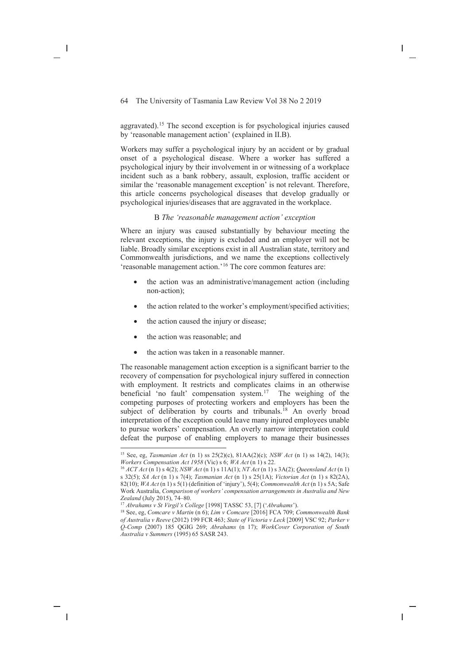aggravated).15 The second exception is for psychological injuries caused by 'reasonable management action' (explained in II.B).

Workers may suffer a psychological injury by an accident or by gradual onset of a psychological disease. Where a worker has suffered a psychological injury by their involvement in or witnessing of a workplace incident such as a bank robbery, assault, explosion, traffic accident or similar the 'reasonable management exception' is not relevant. Therefore, this article concerns psychological diseases that develop gradually or psychological injuries/diseases that are aggravated in the workplace.

## B *The 'reasonable management action' exception*

Where an injury was caused substantially by behaviour meeting the relevant exceptions, the injury is excluded and an employer will not be liable. Broadly similar exceptions exist in all Australian state, territory and Commonwealth jurisdictions, and we name the exceptions collectively 'reasonable management action.'16 The core common features are:

- the action was an administrative/management action (including non-action);
- the action related to the worker's employment/specified activities;
- the action caused the injury or disease;
- the action was reasonable; and
- the action was taken in a reasonable manner.

The reasonable management action exception is a significant barrier to the recovery of compensation for psychological injury suffered in connection with employment. It restricts and complicates claims in an otherwise beneficial 'no fault' compensation system.17 The weighing of the competing purposes of protecting workers and employers has been the subject of deliberation by courts and tribunals.<sup>18</sup> An overly broad interpretation of the exception could leave many injured employees unable to pursue workers' compensation. An overly narrow interpretation could defeat the purpose of enabling employers to manage their businesses

<sup>&</sup>lt;sup>15</sup> See, eg, *Tasmanian Act* (n 1) ss 25(2)(c), 81AA(2)(c); *NSW Act* (n 1) ss 14(2), 14(3); *Workers Compensation Act 1958* (Vic) s 6; *WA Act* (n 1) s 22.

<sup>&</sup>lt;sup>16</sup> *ACT Act* (n 1) s 4(2); *NSW Act* (n 1) s 11A(1); *NT Act* (n 1) s 3A(2); *Queensland Act* (n 1) s 32(5); *SA Act* (n 1) s 7(4); *Tasmanian Act* (n 1) s 25(1A); *Victorian Act* (n 1) s 82(2A), 82(10); *WA Act* (n 1) s 5(1) (definition of 'injury'), 5(4); *Commonwealth Act* (n 1) s 5A; Safe Work Australia, *Comparison of workers' compensation arrangements in Australia and New Zealand* (July 2015), 74–80.

<sup>17</sup> *Abrahams v St Virgil's College* [1998] TASSC 53, [7] ('*Abrahams*').

<sup>18</sup> See, eg, *Comcare v Martin* (n 6); *Lim v Comcare* [2016] FCA 709; *Commonwealth Bank of Australia v Reeve* (2012) 199 FCR 463; *State of Victoria v Leck* [2009] VSC 92; *Parker v Q-Comp* (2007) 185 QGIG 269; *Abrahams* (n 17); *WorkCover Corporation of South Australia v Summers* (1995) 65 SASR 243.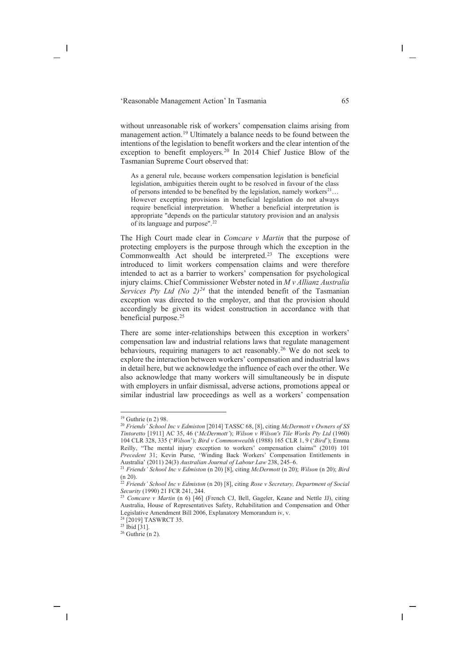without unreasonable risk of workers' compensation claims arising from management action.<sup>19</sup> Ultimately a balance needs to be found between the intentions of the legislation to benefit workers and the clear intention of the exception to benefit employers.<sup>20</sup> In 2014 Chief Justice Blow of the Tasmanian Supreme Court observed that:

As a general rule, because workers compensation legislation is beneficial legislation, ambiguities therein ought to be resolved in favour of the class of persons intended to be benefited by the legislation, namely workers $^{21}$ ... However excepting provisions in beneficial legislation do not always require beneficial interpretation. Whether a beneficial interpretation is appropriate "depends on the particular statutory provision and an analysis of its language and purpose".22

The High Court made clear in *Comcare v Martin* that the purpose of protecting employers is the purpose through which the exception in the Commonwealth Act should be interpreted.<sup>23</sup> The exceptions were introduced to limit workers compensation claims and were therefore intended to act as a barrier to workers' compensation for psychological injury claims. Chief Commissioner Webster noted in *M v Allianz Australia Services Pty Ltd (No 2)<sup>24</sup>* that the intended benefit of the Tasmanian exception was directed to the employer, and that the provision should accordingly be given its widest construction in accordance with that beneficial purpose.25

There are some inter-relationships between this exception in workers' compensation law and industrial relations laws that regulate management behaviours, requiring managers to act reasonably.<sup>26</sup> We do not seek to explore the interaction between workers' compensation and industrial laws in detail here, but we acknowledge the influence of each over the other. We also acknowledge that many workers will simultaneously be in dispute with employers in unfair dismissal, adverse actions, promotions appeal or similar industrial law proceedings as well as a workers' compensation

<sup>24</sup> [2019] TASWRCT 35.

<sup>19</sup> Guthrie (n 2) 98.

<sup>20</sup> *Friends' School Inc v Edmiston* [2014] TASSC 68, [8], citing *McDermott v Owners of SS Tintoretto* [1911] AC 35, 46 ('*McDermott'*); *Wilson v Wilson's Tile Works Pty Ltd* (1960) 104 CLR 328, 335 ('*Wilson*'); *Bird v Commonwealth* (1988) 165 CLR 1, 9 ('*Bird*'); Emma Reilly, "The mental injury exception to workers' compensation claims" (2010) 101 *Precedent* 31; Kevin Purse, 'Winding Back Workers' Compensation Entitlements in Australia' (2011) 24(3) *Australian Journal of Labour Law* 238, 245–6.

<sup>21</sup> *Friends' School Inc v Edmiston* (n 20) [8], citing *McDermott* (n 20); *Wilson* (n 20); *Bird*   $(n 20)$ .

<sup>22</sup> *Friends' School Inc v Edmiston* (n 20) [8], citing *Rose v Secretary, Department of Social Security* (1990) 21 FCR 241, 244.

<sup>&</sup>lt;sup>23</sup> *Comcare v Martin* (n 6) [46] (French CJ, Bell, Gageler, Keane and Nettle JJ), citing Australia, House of Representatives Safety, Rehabilitation and Compensation and Other Legislative Amendment Bill 2006, Explanatory Memorandum iv, v.

<sup>&</sup>lt;sup>25</sup> Ibid [31].

 $26$  Guthrie (n 2).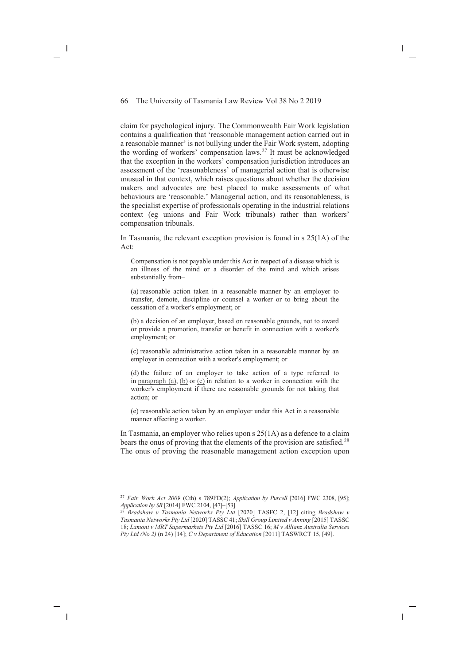claim for psychological injury. The Commonwealth Fair Work legislation contains a qualification that 'reasonable management action carried out in a reasonable manner' is not bullying under the Fair Work system, adopting the wording of workers' compensation laws.27 It must be acknowledged that the exception in the workers' compensation jurisdiction introduces an assessment of the 'reasonableness' of managerial action that is otherwise unusual in that context, which raises questions about whether the decision makers and advocates are best placed to make assessments of what behaviours are 'reasonable.' Managerial action, and its reasonableness, is the specialist expertise of professionals operating in the industrial relations context (eg unions and Fair Work tribunals) rather than workers' compensation tribunals.

In Tasmania, the relevant exception provision is found in  $s$  25(1A) of the Act:

Compensation is not payable under this Act in respect of a disease which is an illness of the mind or a disorder of the mind and which arises substantially from–

(a) reasonable action taken in a reasonable manner by an employer to transfer, demote, discipline or counsel a worker or to bring about the cessation of a worker's employment; or

(b) a decision of an employer, based on reasonable grounds, not to award or provide a promotion, transfer or benefit in connection with a worker's employment; or

(c) reasonable administrative action taken in a reasonable manner by an employer in connection with a worker's employment; or

(d) the failure of an employer to take action of a type referred to in paragraph (a), (b) or (c) in relation to a worker in connection with the worker's employment if there are reasonable grounds for not taking that action; or

(e) reasonable action taken by an employer under this Act in a reasonable manner affecting a worker.

In Tasmania, an employer who relies upon s 25(1A) as a defence to a claim bears the onus of proving that the elements of the provision are satisfied.<sup>28</sup> The onus of proving the reasonable management action exception upon

<sup>27</sup> *Fair Work Act 2009* (Cth) s 789FD(2); *Application by Purcell* [2016] FWC 2308, [95];

<sup>&</sup>lt;sup>28</sup> Bradshaw v Tasmania Networks Pty Ltd <sup>[2020]</sup> TASFC 2, [12] citing *Bradshaw v Tasmania Networks Pty Ltd* [2020] TASSC 41; *Skill Group Limited v Anning* [2015] TASSC 18; *Lamont v MRT Supermarkets Pty Ltd* [2016] TASSC 16; *M v Allianz Australia Services Pty Ltd (No 2)* (n 24) [14]; *C v Department of Education* [2011] TASWRCT 15, [49].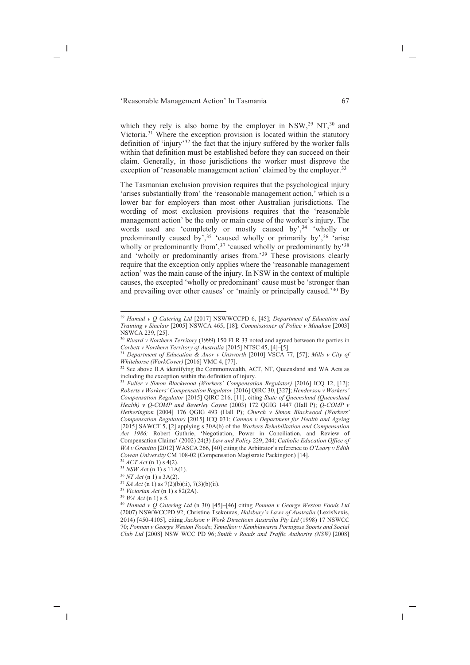which they rely is also borne by the employer in  $NSW<sup>29</sup>, NT<sup>30</sup>$  and Victoria.31 Where the exception provision is located within the statutory definition of 'injury'32 the fact that the injury suffered by the worker falls within that definition must be established before they can succeed on their claim. Generally, in those jurisdictions the worker must disprove the exception of 'reasonable management action' claimed by the employer.<sup>33</sup>

The Tasmanian exclusion provision requires that the psychological injury 'arises substantially from' the 'reasonable management action,' which is a lower bar for employers than most other Australian jurisdictions. The wording of most exclusion provisions requires that the 'reasonable management action' be the only or main cause of the worker's injury. The words used are 'completely or mostly caused by',<sup>34</sup> 'wholly or predominantly caused by',  $35$  'caused wholly or primarily by',  $36$  'arise wholly or predominantly from', $37$  'caused wholly or predominantly by' $38$ and 'wholly or predominantly arises from.'39 These provisions clearly require that the exception only applies where the 'reasonable management action' was the main cause of the injury. In NSW in the context of multiple causes, the excepted 'wholly or predominant' cause must be 'stronger than and prevailing over other causes' or 'mainly or principally caused.'40 By

<sup>29</sup> *Hamad v Q Catering Ltd* [2017] NSWWCCPD 6, [45]; *Department of Education and Training v Sinclair* [2005] NSWCA 465, [18]; *Commissioner of Police v Minahan* [2003] NSWCA 239, [25].

<sup>30</sup> *Rivard v Northern Territory* (1999) 150 FLR 33 noted and agreed between the parties in *Corbett v Northern Territory of Australia* [2015] NTSC 45, [4]–[5].

<sup>31</sup> *Department of Education & Anor v Unsworth* [2010] VSCA 77, [57]; *Mills v City of Whitehorse (WorkCover)* [2016] VMC 4, [77].

<sup>&</sup>lt;sup>32</sup> See above II.A identifying the Commonwealth, ACT, NT, Queensland and WA Acts as including the exception within the definition of injury.

<sup>&</sup>lt;sup>33</sup> Fuller v Simon Blackwood (Workers' Compensation Regulator) [2016] ICQ 12, [12]; *Roberts v Workers' Compensation Regulator* [2016] QIRC 30, [327]; *Henderson v Workers' Compensation Regulator* [2015] QIRC 216, [11], citing *State of Queensland (Queensland Health) v Q-COMP and Beverley Coyne* (2003) 172 QGIG 1447 (Hall P); *Q-COMP v Hetherington* [2004] 176 QGIG 493 (Hall P); *Church v Simon Blackwood (Workers' Compensation Regulator)* [2015] ICQ 031; *Cannon v Department for Health and Ageing* [2015] SAWCT 5, [2] applying s 30A(b) of the *Workers Rehabilitation and Compensation Act 1986;* Robert Guthrie, 'Negotiation, Power in Conciliation, and Review of Compensation Claims' (2002) 24(3) *Law and Policy* 229, 244; *Catholic Education Office of WA v Granitto* [2012] WASCA 266, [40] citing the Arbitrator's reference to *O'Leary v Edith Cowan University* CM 108-02 (Compensation Magistrate Packington) [14].

<sup>34</sup> *ACT Act* (n 1) s 4(2).

<sup>35</sup> *NSW Act* (n 1) s 11A(1).

<sup>36</sup> *NT Act* (n 1) s 3A(2).

<sup>37</sup> *SA Act* (n 1) ss 7(2)(b)(ii), 7(3)(b)(ii).

<sup>38</sup> *Victorian Act* (n 1) s 82(2A).

<sup>39</sup> *WA Act* (n 1) s 5.

<sup>40</sup> *Hamad v Q Catering Ltd* (n 30) [45]–[46] citing *Ponnan v George Weston Foods Ltd*  (2007) NSWWCCPD 92; Christine Tsekouras, *Halsbury's Laws of Australia* (LexisNexis, 2014) [450-4105], citing *Jackson v Work Directions Australia Pty Ltd* (1998) 17 NSWCC 70; *Ponnan v George Weston Foods*; *Temelkov v Kemblawarra Portugese Sports and Social Club Ltd* [2008] NSW WCC PD 96; *Smith v Roads and Traffic Authority (NSW)* [2008]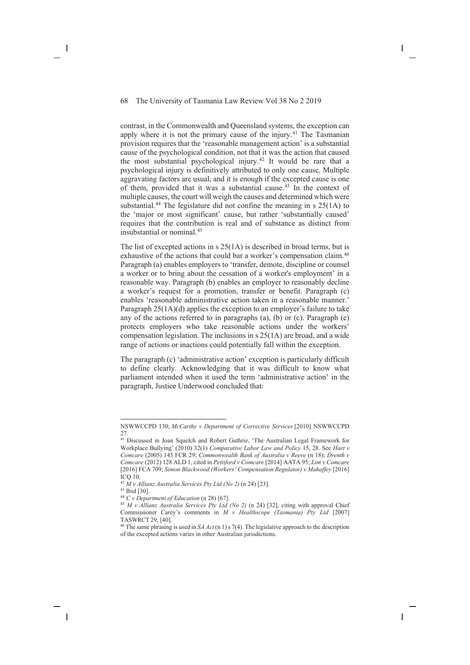contrast, in the Commonwealth and Queensland systems, the exception can apply where it is not the primary cause of the injury.<sup>41</sup> The Tasmanian provision requires that the 'reasonable management action' is a substantial cause of the psychological condition, not that it was the action that caused the most substantial psychological injury.42 It would be rare that a psychological injury is definitively attributed to only one cause. Multiple aggravating factors are usual, and it is enough if the excepted cause is one of them, provided that it was a substantial cause.43 In the context of multiple causes, the court will weigh the causes and determined which were substantial.<sup>44</sup> The legislature did not confine the meaning in  $s$  25(1A) to the 'major or most significant' cause, but rather 'substantially caused' requires that the contribution is real and of substance as distinct from insubstantial or nominal.45

The list of excepted actions in s 25(1A) is described in broad terms, but is exhaustive of the actions that could bar a worker's compensation claim.<sup>46</sup> Paragraph (a) enables employers to 'transfer, demote, discipline or counsel a worker or to bring about the cessation of a worker's employment' in a reasonable way. Paragraph (b) enables an employer to reasonably decline a worker's request for a promotion, transfer or benefit. Paragraph (c) enables 'reasonable administrative action taken in a reasonable manner.' Paragraph 25(1A)(d) applies the exception to an employer's failure to take any of the actions referred to in paragraphs (a), (b) or (c). Paragraph (e) protects employers who take reasonable actions under the workers' compensation legislation. The inclusions in s 25(1A) are broad, and a wide range of actions or inactions could potentially fall within the exception.

The paragraph (c) 'administrative action' exception is particularly difficult to define clearly. Acknowledging that it was difficult to know what parliament intended when it used the term 'administrative action' in the paragraph, Justice Underwood concluded that:

NSWWCCPD 130; *McCarthy v Department of Corrective Services* [2010] NSWWCCPD 27.

<sup>41</sup> Discussed in Joan Squelch and Robert Guthrie, 'The Australian Legal Framework for Workplace Bullying' (2010) 32(1) *Comparative Labor Law and Policy* 15, 28. See *Hart v Comcare* (2005) 145 FCR 29; *Commonwealth Bank of Australia v Reeve* (n 18); *Drenth v Comcare* (2012) 128 ALD 1, cited in *Pettiford v Comcare* [2014] AATA 95; *Lim v Comcare*  [2016] FCA 709; *Simon Blackwood (Workers' Compensation Regulator) v Mahaffey* [2016] ICQ 10.

<sup>42</sup> *M v Allianz Australia Services Pty Ltd (No 2)* (n 24) [23].

<sup>43</sup> Ibid [30].

<sup>44</sup> *C v Department of Education* (n 28) [67].

<sup>45</sup> *M v Allianz Australia Services Pty Ltd (No 2)* (n 24) [32], citing with approval Chief Commissioner Carey's comments in *M v Healthscope (Tasmania) Pty Ltd* [2007] TASWRCT 29, [40].

<sup>46</sup> The same phrasing is used in *SA Act* (n 1) s 7(4). The legislative approach to the description of the excepted actions varies in other Australian jurisdictions.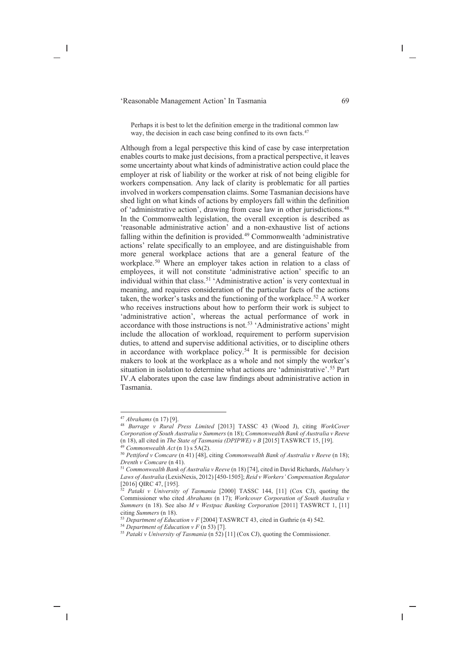Perhaps it is best to let the definition emerge in the traditional common law way, the decision in each case being confined to its own facts.<sup>47</sup>

Although from a legal perspective this kind of case by case interpretation enables courts to make just decisions, from a practical perspective, it leaves some uncertainty about what kinds of administrative action could place the employer at risk of liability or the worker at risk of not being eligible for workers compensation. Any lack of clarity is problematic for all parties involved in workers compensation claims. Some Tasmanian decisions have shed light on what kinds of actions by employers fall within the definition of 'administrative action', drawing from case law in other jurisdictions. 48 In the Commonwealth legislation, the overall exception is described as 'reasonable administrative action' and a non-exhaustive list of actions falling within the definition is provided.<sup>49</sup> Commonwealth 'administrative actions' relate specifically to an employee, and are distinguishable from more general workplace actions that are a general feature of the workplace.<sup>50</sup> Where an employer takes action in relation to a class of employees, it will not constitute 'administrative action' specific to an individual within that class.<sup>51</sup> 'Administrative action' is very contextual in meaning, and requires consideration of the particular facts of the actions taken, the worker's tasks and the functioning of the workplace. <sup>52</sup> A worker who receives instructions about how to perform their work is subject to 'administrative action', whereas the actual performance of work in accordance with those instructions is not.53 'Administrative actions' might include the allocation of workload, requirement to perform supervision duties, to attend and supervise additional activities, or to discipline others in accordance with workplace policy.<sup>54</sup> It is permissible for decision makers to look at the workplace as a whole and not simply the worker's situation in isolation to determine what actions are 'administrative'. <sup>55</sup> Part IV.A elaborates upon the case law findings about administrative action in Tasmania.

<sup>47</sup> *Abrahams* (n 17) [9].

<sup>48</sup> *Burrage v Rural Press Limited* [2013] TASSC 43 (Wood J), citing *WorkCover Corporation of South Australia v Summers* (n 18); *Commonwealth Bank of Australia v Reeve* (n 18), all cited in *The State of Tasmania (DPIPWE) v B* [2015] TASWRCT 15, [19]. 49 *Commonwealth Act* (n 1) s 5A(2).

<sup>50</sup> *Pettiford v Comcare* (n 41) [48], citing *Commonwealth Bank of Australia v Reeve* (n 18); *Drenth v Comcare* (n 41).

<sup>51</sup> *Commonwealth Bank of Australia v Reeve* (n 18) [74], cited in David Richards, *Halsbury's Laws of Australia* (LexisNexis, 2012) [450-1505]; *Reid v Workers' Compensation Regulator*  [2016] QIRC 47, [195].

<sup>52</sup> *Pataki v University of Tasmania* [2000] TASSC 144, [11] (Cox CJ), quoting the Commissioner who cited *Abrahams* (n 17); *Workcover Corporation of South Australia v Summers* (n 18). See also *M v Westpac Banking Corporation* [2011] TASWRCT 1, [11] citing *Summers* (n 18). 53 *Department of Education v F* [2004] TASWRCT 43, cited in Guthrie (n 4) 542.

<sup>54</sup> *Department of Education v F* (n 53) [7].

<sup>55</sup> *Pataki v University of Tasmania* (n 52) [11] (Cox CJ), quoting the Commissioner.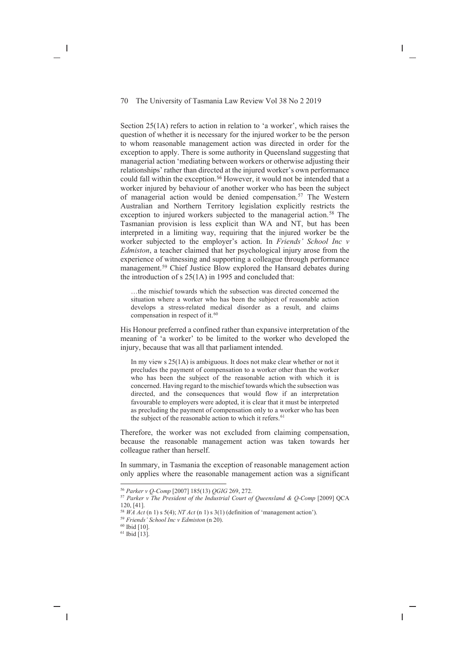Section 25(1A) refers to action in relation to 'a worker', which raises the question of whether it is necessary for the injured worker to be the person to whom reasonable management action was directed in order for the exception to apply. There is some authority in Queensland suggesting that managerial action 'mediating between workers or otherwise adjusting their relationships' rather than directed at the injured worker's own performance could fall within the exception. <sup>56</sup> However, it would not be intended that a worker injured by behaviour of another worker who has been the subject of managerial action would be denied compensation.<sup>57</sup> The Western Australian and Northern Territory legislation explicitly restricts the exception to injured workers subjected to the managerial action.<sup>58</sup> The Tasmanian provision is less explicit than WA and NT, but has been interpreted in a limiting way, requiring that the injured worker be the worker subjected to the employer's action. In *Friends' School Inc v Edmiston*, a teacher claimed that her psychological injury arose from the experience of witnessing and supporting a colleague through performance management.59 Chief Justice Blow explored the Hansard debates during the introduction of s 25(1A) in 1995 and concluded that:

…the mischief towards which the subsection was directed concerned the situation where a worker who has been the subject of reasonable action develops a stress-related medical disorder as a result, and claims compensation in respect of it.<sup>60</sup>

His Honour preferred a confined rather than expansive interpretation of the meaning of 'a worker' to be limited to the worker who developed the injury, because that was all that parliament intended.

In my view s 25(1A) is ambiguous. It does not make clear whether or not it precludes the payment of compensation to a worker other than the worker who has been the subject of the reasonable action with which it is concerned. Having regard to the mischief towards which the subsection was directed, and the consequences that would flow if an interpretation favourable to employers were adopted, it is clear that it must be interpreted as precluding the payment of compensation only to a worker who has been the subject of the reasonable action to which it refers.<sup>61</sup>

Therefore, the worker was not excluded from claiming compensation, because the reasonable management action was taken towards her colleague rather than herself.

In summary, in Tasmania the exception of reasonable management action only applies where the reasonable management action was a significant

<sup>56</sup> *Parker v Q-Comp* [2007] 185(13) *QGIG* 269, 272.

<sup>&</sup>lt;sup>57</sup> Parker v The President of the Industrial Court of Oueensland & O-Comp [2009] OCA 120, [41].

<sup>58</sup> *WA Act* (n 1) s 5(4); *NT Act* (n 1) s 3(1) (definition of 'management action').

<sup>59</sup> *Friends' School Inc v Edmiston* (n 20).

<sup>60</sup> Ibid [10].

 $61$  Ibid [13].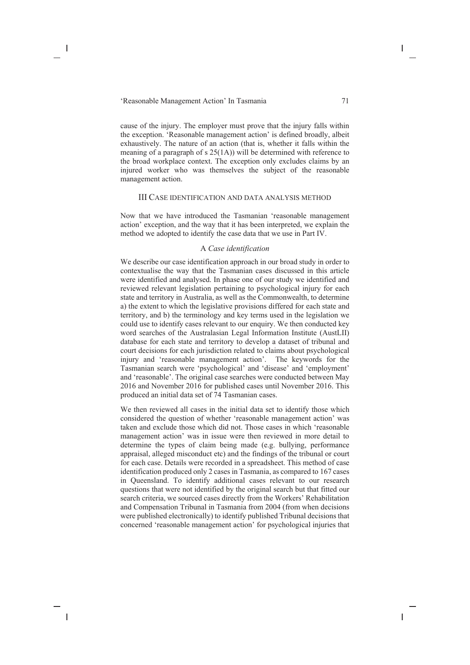cause of the injury. The employer must prove that the injury falls within the exception. 'Reasonable management action' is defined broadly, albeit exhaustively. The nature of an action (that is, whether it falls within the meaning of a paragraph of s 25(1A)) will be determined with reference to the broad workplace context. The exception only excludes claims by an injured worker who was themselves the subject of the reasonable management action.

## III CASE IDENTIFICATION AND DATA ANALYSIS METHOD

Now that we have introduced the Tasmanian 'reasonable management action' exception, and the way that it has been interpreted, we explain the method we adopted to identify the case data that we use in Part IV.

#### A *Case identification*

We describe our case identification approach in our broad study in order to contextualise the way that the Tasmanian cases discussed in this article were identified and analysed. In phase one of our study we identified and reviewed relevant legislation pertaining to psychological injury for each state and territory in Australia, as well as the Commonwealth, to determine a) the extent to which the legislative provisions differed for each state and territory, and b) the terminology and key terms used in the legislation we could use to identify cases relevant to our enquiry. We then conducted key word searches of the Australasian Legal Information Institute (AustLII) database for each state and territory to develop a dataset of tribunal and court decisions for each jurisdiction related to claims about psychological injury and 'reasonable management action'. The keywords for the Tasmanian search were 'psychological' and 'disease' and 'employment' and 'reasonable'. The original case searches were conducted between May 2016 and November 2016 for published cases until November 2016. This produced an initial data set of 74 Tasmanian cases.

We then reviewed all cases in the initial data set to identify those which considered the question of whether 'reasonable management action' was taken and exclude those which did not. Those cases in which 'reasonable management action' was in issue were then reviewed in more detail to determine the types of claim being made (e.g. bullying, performance appraisal, alleged misconduct etc) and the findings of the tribunal or court for each case. Details were recorded in a spreadsheet. This method of case identification produced only 2 cases in Tasmania, as compared to 167 cases in Queensland. To identify additional cases relevant to our research questions that were not identified by the original search but that fitted our search criteria, we sourced cases directly from the Workers' Rehabilitation and Compensation Tribunal in Tasmania from 2004 (from when decisions were published electronically) to identify published Tribunal decisions that concerned 'reasonable management action' for psychological injuries that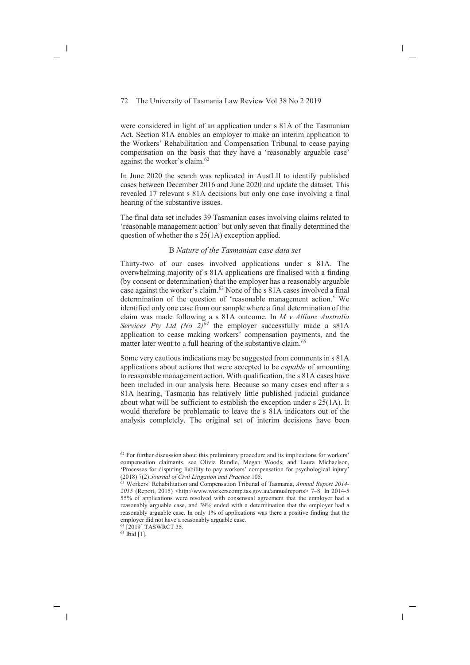were considered in light of an application under s 81A of the Tasmanian Act. Section 81A enables an employer to make an interim application to the Workers' Rehabilitation and Compensation Tribunal to cease paying compensation on the basis that they have a 'reasonably arguable case' against the worker's claim.62

In June 2020 the search was replicated in AustLII to identify published cases between December 2016 and June 2020 and update the dataset. This revealed 17 relevant s 81A decisions but only one case involving a final hearing of the substantive issues.

The final data set includes 39 Tasmanian cases involving claims related to 'reasonable management action' but only seven that finally determined the question of whether the s 25(1A) exception applied.

## B *Nature of the Tasmanian case data set*

Thirty-two of our cases involved applications under s 81A. The overwhelming majority of s 81A applications are finalised with a finding (by consent or determination) that the employer has a reasonably arguable case against the worker's claim.63 None of the s 81A cases involved a final determination of the question of 'reasonable management action.' We identified only one case from our sample where a final determination of the claim was made following a s 81A outcome. In *M v Allianz Australia Services Pty Ltd (No 2)<sup>64</sup>* the employer successfully made a s81A application to cease making workers' compensation payments, and the matter later went to a full hearing of the substantive claim.<sup>65</sup>

Some very cautious indications may be suggested from comments in s 81A applications about actions that were accepted to be *capable* of amounting to reasonable management action. With qualification, the s 81A cases have been included in our analysis here. Because so many cases end after a s 81A hearing, Tasmania has relatively little published judicial guidance about what will be sufficient to establish the exception under s 25(1A). It would therefore be problematic to leave the s 81A indicators out of the analysis completely. The original set of interim decisions have been

<sup>&</sup>lt;sup>62</sup> For further discussion about this preliminary procedure and its implications for workers' compensation claimants, see Olivia Rundle, Megan Woods, and Laura Michaelson, 'Processes for disputing liability to pay workers' compensation for psychological injury' (2018) 7(2) *Journal of Civil Litigation and Practice* 105.

<sup>63</sup> Workers' Rehabilitation and Compensation Tribunal of Tasmania, *Annual Report 2014- 2015* (Report, 2015) <http://www.workerscomp.tas.gov.au/annualreports> 7–8. In 2014-5 55% of applications were resolved with consensual agreement that the employer had a reasonably arguable case, and 39% ended with a determination that the employer had a reasonably arguable case. In only 1% of applications was there a positive finding that the employer did not have a reasonably arguable case.

<sup>64</sup> [2019] TASWRCT 35.

<sup>&</sup>lt;sup>65</sup> Ibid [1].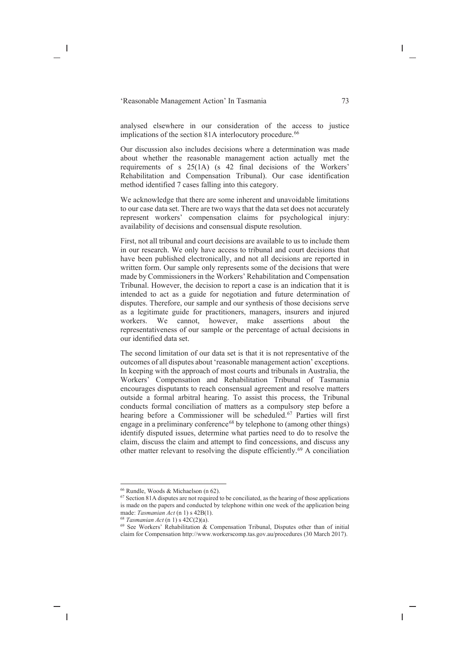analysed elsewhere in our consideration of the access to justice implications of the section 81A interlocutory procedure.<sup>66</sup>

Our discussion also includes decisions where a determination was made about whether the reasonable management action actually met the requirements of s 25(1A) (s 42 final decisions of the Workers' Rehabilitation and Compensation Tribunal). Our case identification method identified 7 cases falling into this category.

We acknowledge that there are some inherent and unavoidable limitations to our case data set. There are two ways that the data set does not accurately represent workers' compensation claims for psychological injury: availability of decisions and consensual dispute resolution.

First, not all tribunal and court decisions are available to us to include them in our research. We only have access to tribunal and court decisions that have been published electronically, and not all decisions are reported in written form. Our sample only represents some of the decisions that were made by Commissioners in the Workers' Rehabilitation and Compensation Tribunal. However, the decision to report a case is an indication that it is intended to act as a guide for negotiation and future determination of disputes. Therefore, our sample and our synthesis of those decisions serve as a legitimate guide for practitioners, managers, insurers and injured workers. We cannot, however, make assertions about the representativeness of our sample or the percentage of actual decisions in our identified data set.

The second limitation of our data set is that it is not representative of the outcomes of all disputes about 'reasonable management action' exceptions. In keeping with the approach of most courts and tribunals in Australia, the Workers' Compensation and Rehabilitation Tribunal of Tasmania encourages disputants to reach consensual agreement and resolve matters outside a formal arbitral hearing. To assist this process, the Tribunal conducts formal conciliation of matters as a compulsory step before a hearing before a Commissioner will be scheduled.67 Parties will first engage in a preliminary conference<sup>68</sup> by telephone to (among other things) identify disputed issues, determine what parties need to do to resolve the claim, discuss the claim and attempt to find concessions, and discuss any other matter relevant to resolving the dispute efficiently.<sup>69</sup> A conciliation

<sup>&</sup>lt;sup>66</sup> Rundle, Woods & Michaelson (n 62). <sup>67</sup> Section 81A disputes are not required to be conciliated, as the hearing of those applications is made on the papers and conducted by telephone within one week of the application being made: *Tasmanian Act* (n 1) s 42B(1). 68 *Tasmanian Act* (n 1) s 42C(2)(a).

<sup>69</sup> See Workers' Rehabilitation & Compensation Tribunal, Disputes other than of initial claim for Compensation http://www.workerscomp.tas.gov.au/procedures (30 March 2017).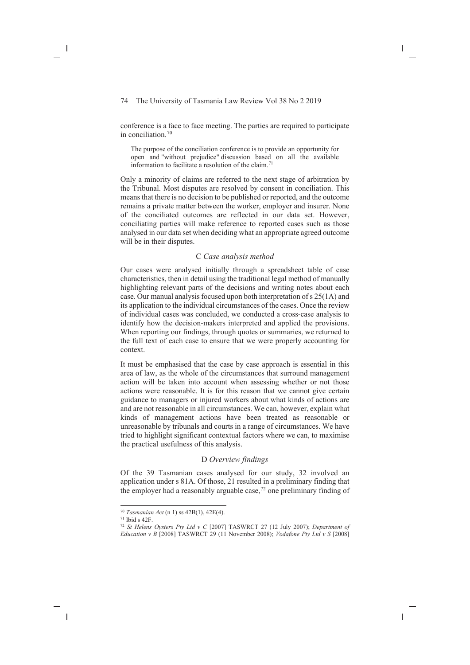conference is a face to face meeting. The parties are required to participate in conciliation.70

The purpose of the conciliation conference is to provide an opportunity for open and "without prejudice" discussion based on all the available information to facilitate a resolution of the claim.<sup>71</sup>

Only a minority of claims are referred to the next stage of arbitration by the Tribunal. Most disputes are resolved by consent in conciliation. This means that there is no decision to be published or reported, and the outcome remains a private matter between the worker, employer and insurer. None of the conciliated outcomes are reflected in our data set. However, conciliating parties will make reference to reported cases such as those analysed in our data set when deciding what an appropriate agreed outcome will be in their disputes.

# C *Case analysis method*

Our cases were analysed initially through a spreadsheet table of case characteristics, then in detail using the traditional legal method of manually highlighting relevant parts of the decisions and writing notes about each case. Our manual analysis focused upon both interpretation of s 25(1A) and its application to the individual circumstances of the cases. Once the review of individual cases was concluded, we conducted a cross-case analysis to identify how the decision-makers interpreted and applied the provisions. When reporting our findings, through quotes or summaries, we returned to the full text of each case to ensure that we were properly accounting for context.

It must be emphasised that the case by case approach is essential in this area of law, as the whole of the circumstances that surround management action will be taken into account when assessing whether or not those actions were reasonable. It is for this reason that we cannot give certain guidance to managers or injured workers about what kinds of actions are and are not reasonable in all circumstances. We can, however, explain what kinds of management actions have been treated as reasonable or unreasonable by tribunals and courts in a range of circumstances. We have tried to highlight significant contextual factors where we can, to maximise the practical usefulness of this analysis.

# D *Overview findings*

Of the 39 Tasmanian cases analysed for our study, 32 involved an application under s 81A. Of those, 21 resulted in a preliminary finding that the employer had a reasonably arguable case,<sup>72</sup> one preliminary finding of

<sup>70</sup> *Tasmanian Act* (n 1) ss 42B(1), 42E(4).

<sup>71</sup> Ibid s 42F.

<sup>72</sup> *St Helens Oysters Pty Ltd v C* [2007] TASWRCT 27 (12 July 2007); *Department of Education v B* [2008] TASWRCT 29 (11 November 2008); *Vodafone Pty Ltd v S* [2008]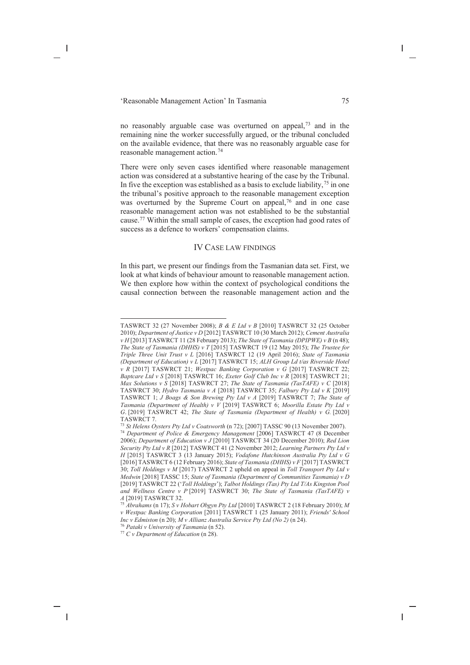no reasonably arguable case was overturned on appeal,73 and in the remaining nine the worker successfully argued, or the tribunal concluded on the available evidence, that there was no reasonably arguable case for reasonable management action.74

There were only seven cases identified where reasonable management action was considered at a substantive hearing of the case by the Tribunal. In five the exception was established as a basis to exclude liability,  $75$  in one the tribunal's positive approach to the reasonable management exception was overturned by the Supreme Court on appeal,<sup>76</sup> and in one case reasonable management action was not established to be the substantial cause.77 Within the small sample of cases, the exception had good rates of success as a defence to workers' compensation claims.

## IV CASE LAW FINDINGS

In this part, we present our findings from the Tasmanian data set. First, we look at what kinds of behaviour amount to reasonable management action. We then explore how within the context of psychological conditions the causal connection between the reasonable management action and the

TASWRCT 32 (27 November 2008); *B & E Ltd v B* [2010] TASWRCT 32 (25 October 2010); *Department of Justice v D* [2012] TASWRCT 10 (30 March 2012); *Cement Australia v H* [2013] TASWRCT 11 (28 February 2013); *The State of Tasmania (DPIPWE) v B* (n 48); *The State of Tasmania (DHHS) v T* [2015] TASWRCT 19 (12 May 2015); *The Trustee for Triple Three Unit Trust v L* [2016] TASWRCT 12 (19 April 2016); *State of Tasmania (Department of Education) v L* [2017] TASWRCT 15; *ALH Group Ld t/as Riverside Hotel v R* [2017] TASWRCT 21; *Westpac Banking Corporation v G* [2017] TASWRCT 22; *Baptcare Ltd v S* [2018] TASWRCT 16; *Exeter Golf Club Inc v R* [2018] TASWRCT 21; *Max Solutions v S* [2018] TASWRCT 27; *The State of Tasmania (TasTAFE) v C* [2018] TASWRCT 30; *Hydro Tasmania v A* [2018] TASWRCT 35; *Falbury Pty Ltd v K* [2019] TASWRCT 1; *J Boags & Son Brewing Pty Ltd v A* [2019] TASWRCT 7; *The State of Tasmania (Department of Health) v V* [2019] TASWRCT 6; *Moorilla Estate Pty Ltd v G*. [2019] TASWRCT 42; *The State of Tasmania (Department of Health) v G.* [2020] TASWRCT 7.

<sup>73</sup> *St Helens Oysters Pty Ltd v Coatsworth* (n 72); [2007] TASSC 90 (13 November 2007). <sup>74</sup> *Department of Police & Emergency Management* [2006] TASWRCT 47 (8 December 2006); *Department of Education v J* [2010] TASWRCT 34 (20 December 2010); *Red Lion Security Pty Ltd v R* [2012] TASWRCT 41 (2 November 2012; *Learning Partners Pty Ltd v H* [2015] TASWRCT 3 (13 January 2015); *Vodafone Hutchinson Australia Pty Ltd v G* [2016] TASWRCT 6 (12 February 2016); *State of Tasmania (DHHS) v F* [2017] TASWRCT 30; *Toll Holdings v M* [2017) TASWRCT 2 upheld on appeal in *Toll Transport Pty Ltd v Medwin* [2018] TASSC 15; *State of Tasmania (Department of Communities Tasmania) v D* [2019] TASWRCT 22 ('*Toll Holdings*'); *Talbot Holdings (Tas) Pty Ltd T/As Kingston Pool and Wellness Centre v P* [2019] TASWRCT 30; *The State of Tasmania (TasTAFE) v A* [2019] TASWRCT 32.

<sup>75</sup> *Abrahams* (n 17); *S v Hobart Obgyn Pty Ltd* [2010] TASWRCT 2 (18 February 2010); *M v Westpac Banking Corporation* [2011] TASWRCT 1 (25 January 2011); *Friends' School Inc v Edmiston* (n 20); *M v Allianz Australia Service Pty Ltd (No 2)* (n 24).

<sup>76</sup> *Pataki v University of Tasmania* (n 52).

<sup>77</sup> *C v Department of Education* (n 28).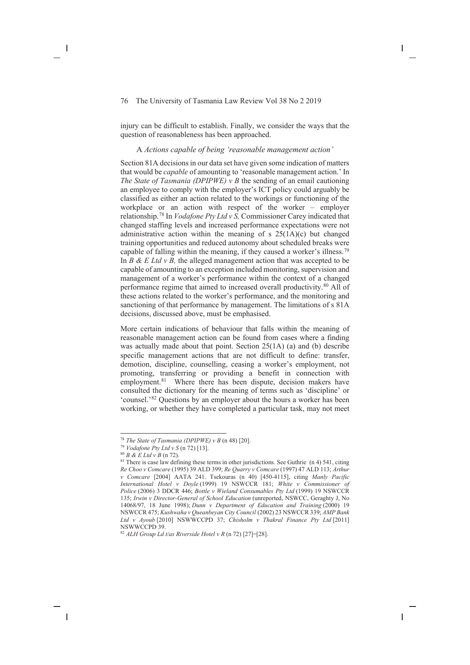injury can be difficult to establish. Finally, we consider the ways that the question of reasonableness has been approached.

#### A *Actions capable of being 'reasonable management action'*

Section 81A decisions in our data set have given some indication of matters that would be *capable* of amounting to 'reasonable management action.' In *The State of Tasmania (DPIPWE) v B* the sending of an email cautioning an employee to comply with the employer's ICT policy could arguably be classified as either an action related to the workings or functioning of the workplace or an action with respect of the worker – employer relationship.78 In *Vodafone Pty Ltd v S,* Commissioner Carey indicated that changed staffing levels and increased performance expectations were not administrative action within the meaning of s  $25(1A)(c)$  but changed training opportunities and reduced autonomy about scheduled breaks were capable of falling within the meaning, if they caused a worker's illness.79 In *B & E Ltd v B*, the alleged management action that was accepted to be capable of amounting to an exception included monitoring, supervision and management of a worker's performance within the context of a changed performance regime that aimed to increased overall productivity.80 All of these actions related to the worker's performance, and the monitoring and sanctioning of that performance by management. The limitations of s 81A decisions, discussed above, must be emphasised.

More certain indications of behaviour that falls within the meaning of reasonable management action can be found from cases where a finding was actually made about that point. Section 25(1A) (a) and (b) describe specific management actions that are not difficult to define: transfer, demotion, discipline, counselling, ceasing a worker's employment, not promoting, transferring or providing a benefit in connection with employment.<sup>81</sup> Where there has been dispute, decision makers have consulted the dictionary for the meaning of terms such as 'discipline' or 'counsel.'82 Questions by an employer about the hours a worker has been working, or whether they have completed a particular task, may not meet

<sup>&</sup>lt;sup>78</sup> *The State of Tasmania (DPIPWE)*  $v B$  (n 48) [20].

<sup>79</sup> *Vodafone Pty Ltd v S* (n 72) [13]. 80 *B & E Ltd v B* (n 72).

 $81$  There is case law defining these terms in other jurisdictions. See Guthrie (n 4) 541, citing *Re Choo v Comcare* (1995) 39 ALD 399; *Re Quarry v Comcare* (1997) 47 ALD 113; *Arthur v Comcare* [2004] AATA 241. Tsekouras (n 40) [450-4115], citing *Manly Pacific International Hotel v Doyle* (1999) 19 NSWCCR 181; *White v Commissioner of Police* (2006) 3 DDCR 446; *Bottle v Wieland Consumables Pty Ltd* (1999) 19 NSWCCR 135; *Irwin v Director-General of School Education* (unreported, NSWCC, Geraghty J, No 14068/97, 18 June 1998); *Dunn v Department of Education and Training* (2000) 19 NSWCCR 475; *Kushwaha v Queanbeyan City Council* (2002) 23 NSWCCR 339; *AMP Bank Ltd v Ayoub* [2010] NSWWCCPD 37; *Chisholm v Thakral Finance Pty Ltd* [2011] NSWWCCPD 39.

<sup>82</sup> *ALH Group Ld t/as Riverside Hotel v R* (n 72) [27] ̶[28].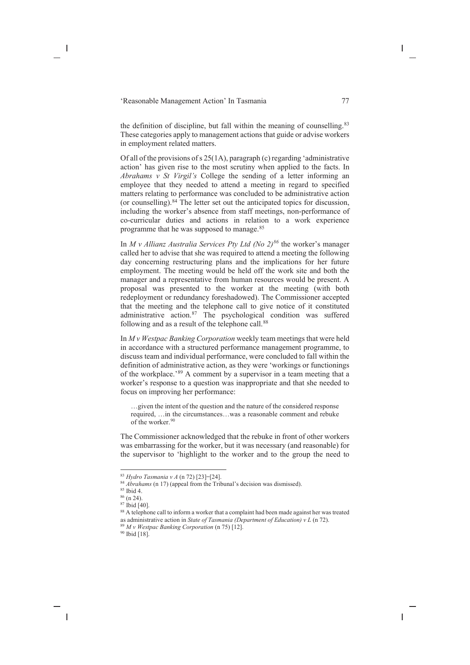the definition of discipline, but fall within the meaning of counselling. $83$ These categories apply to management actions that guide or advise workers in employment related matters.

Of all of the provisions of s 25(1A), paragraph (c) regarding 'administrative action' has given rise to the most scrutiny when applied to the facts. In *Abrahams v St Virgil's* College the sending of a letter informing an employee that they needed to attend a meeting in regard to specified matters relating to performance was concluded to be administrative action (or counselling).84 The letter set out the anticipated topics for discussion, including the worker's absence from staff meetings, non-performance of co-curricular duties and actions in relation to a work experience programme that he was supposed to manage.85

In *M v Allianz Australia Services Pty Ltd (No 2)<sup>86</sup>* the worker's manager called her to advise that she was required to attend a meeting the following day concerning restructuring plans and the implications for her future employment. The meeting would be held off the work site and both the manager and a representative from human resources would be present. A proposal was presented to the worker at the meeting (with both redeployment or redundancy foreshadowed). The Commissioner accepted that the meeting and the telephone call to give notice of it constituted administrative action.87 The psychological condition was suffered following and as a result of the telephone call.<sup>88</sup>

In *M v Westpac Banking Corporation* weekly team meetings that were held in accordance with a structured performance management programme, to discuss team and individual performance, were concluded to fall within the definition of administrative action, as they were 'workings or functionings of the workplace.'89 A comment by a supervisor in a team meeting that a worker's response to a question was inappropriate and that she needed to focus on improving her performance:

…given the intent of the question and the nature of the considered response required, …in the circumstances…was a reasonable comment and rebuke of the worker.<sup>90</sup>

The Commissioner acknowledged that the rebuke in front of other workers was embarrassing for the worker, but it was necessary (and reasonable) for the supervisor to 'highlight to the worker and to the group the need to

<sup>83</sup> *Hydro Tasmania v A* (n 72) [23] ̶[24].

<sup>84</sup> *Abrahams* (n 17) (appeal from the Tribunal's decision was dismissed).

 $\frac{85 \text{ Ibid } 4.}{86 \text{ (n 24)}}$ 

 $87$  Ibid [40].

<sup>88</sup> A telephone call to inform a worker that a complaint had been made against her was treated as administrative action in *State of Tasmania (Department of Education) v L* (n 72).

<sup>89</sup> *M v Westpac Banking Corporation* (n 75) [12].

<sup>90</sup> Ibid [18].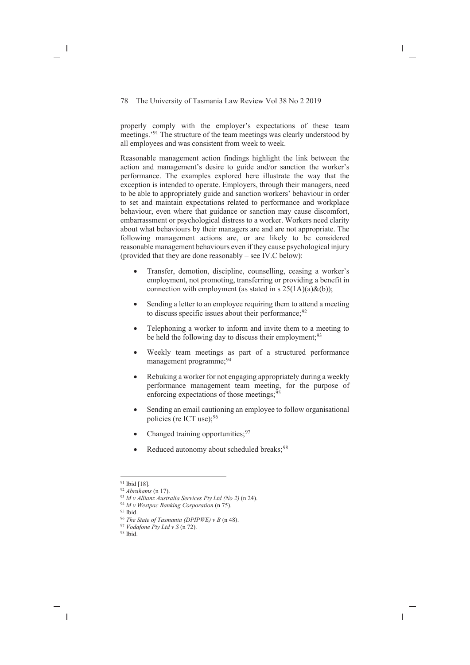properly comply with the employer's expectations of these team meetings.'91 The structure of the team meetings was clearly understood by all employees and was consistent from week to week.

Reasonable management action findings highlight the link between the action and management's desire to guide and/or sanction the worker's performance. The examples explored here illustrate the way that the exception is intended to operate. Employers, through their managers, need to be able to appropriately guide and sanction workers' behaviour in order to set and maintain expectations related to performance and workplace behaviour, even where that guidance or sanction may cause discomfort, embarrassment or psychological distress to a worker. Workers need clarity about what behaviours by their managers are and are not appropriate. The following management actions are, or are likely to be considered reasonable management behaviours even if they cause psychological injury (provided that they are done reasonably – see IV.C below):

- Transfer, demotion, discipline, counselling, ceasing a worker's employment, not promoting, transferring or providing a benefit in connection with employment (as stated in s  $25(1A)(a)\&(b)$ );
- Sending a letter to an employee requiring them to attend a meeting to discuss specific issues about their performance;  $92$
- Telephoning a worker to inform and invite them to a meeting to be held the following day to discuss their employment;<sup>93</sup>
- Weekly team meetings as part of a structured performance management programme;<sup>94</sup>
- Rebuking a worker for not engaging appropriately during a weekly performance management team meeting, for the purpose of enforcing expectations of those meetings;<sup>95</sup>
- Sending an email cautioning an employee to follow organisational policies (re ICT use);<sup>96</sup>
- Changed training opportunities;  $97$
- Reduced autonomy about scheduled breaks;<sup>98</sup>

<sup>91</sup> Ibid [18].

<sup>92</sup> *Abrahams* (n 17).

<sup>93</sup> *M v Allianz Australia Services Pty Ltd (No 2)* (n 24).

<sup>94</sup> *M v Westpac Banking Corporation* (n 75).

 $^{95}$  Ibid.

<sup>96</sup> *The State of Tasmania (DPIPWE) v B* (n 48).

<sup>97</sup> *Vodafone Pty Ltd v S* (n 72).

<sup>98</sup> Ibid.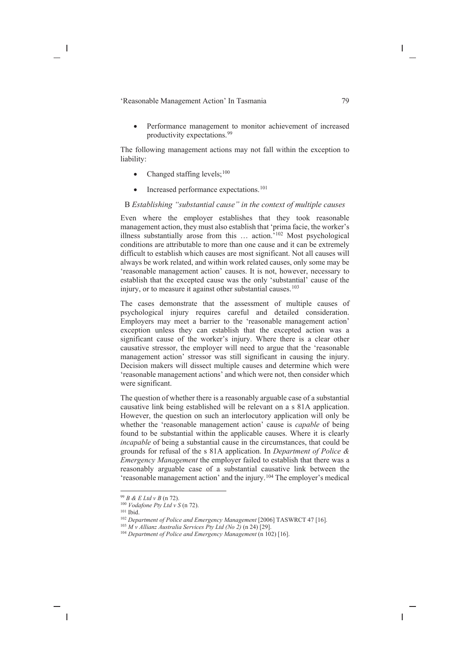Performance management to monitor achievement of increased productivity expectations.99

The following management actions may not fall within the exception to liability:

- Changed staffing levels;  $100$
- $\bullet$  Increased performance expectations.<sup>101</sup>

# B *Establishing "substantial cause" in the context of multiple causes*

Even where the employer establishes that they took reasonable management action, they must also establish that 'prima facie, the worker's illness substantially arose from this … action.'102 Most psychological conditions are attributable to more than one cause and it can be extremely difficult to establish which causes are most significant. Not all causes will always be work related, and within work related causes, only some may be 'reasonable management action' causes. It is not, however, necessary to establish that the excepted cause was the only 'substantial' cause of the injury, or to measure it against other substantial causes.<sup>103</sup>

The cases demonstrate that the assessment of multiple causes of psychological injury requires careful and detailed consideration. Employers may meet a barrier to the 'reasonable management action' exception unless they can establish that the excepted action was a significant cause of the worker's injury. Where there is a clear other causative stressor, the employer will need to argue that the 'reasonable management action' stressor was still significant in causing the injury. Decision makers will dissect multiple causes and determine which were 'reasonable management actions' and which were not, then consider which were significant.

The question of whether there is a reasonably arguable case of a substantial causative link being established will be relevant on a s 81A application. However, the question on such an interlocutory application will only be whether the 'reasonable management action' cause is *capable* of being found to be substantial within the applicable causes. Where it is clearly *incapable* of being a substantial cause in the circumstances, that could be grounds for refusal of the s 81A application. In *Department of Police & Emergency Management* the employer failed to establish that there was a reasonably arguable case of a substantial causative link between the 'reasonable management action' and the injury.104 The employer's medical

<sup>99</sup> *B & E Ltd v B* (n 72).

<sup>100</sup> *Vodafone Pty Ltd v S* (n 72).

<sup>101</sup> Ibid.

<sup>&</sup>lt;sup>102</sup> Department of Police and Emergency Management [2006] TASWRCT 47 [16].

<sup>103</sup> *M v Allianz Australia Services Pty Ltd (No 2)* (n 24) [29].

<sup>&</sup>lt;sup>104</sup> Department of Police and Emergency Management (n 102) [16].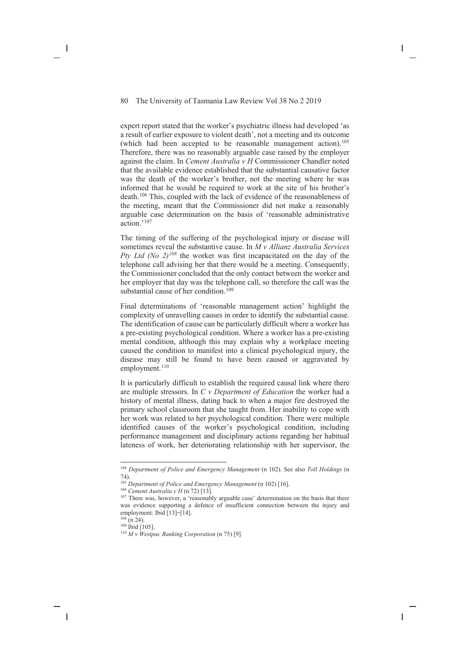expert report stated that the worker's psychiatric illness had developed 'as a result of earlier exposure to violent death', not a meeting and its outcome (which had been accepted to be reasonable management action).<sup>105</sup> Therefore, there was no reasonably arguable case raised by the employer against the claim. In *Cement Australia v H* Commissioner Chandler noted that the available evidence established that the substantial causative factor was the death of the worker's brother, not the meeting where he was informed that he would be required to work at the site of his brother's death.106 This, coupled with the lack of evidence of the reasonableness of the meeting, meant that the Commissioner did not make a reasonably arguable case determination on the basis of 'reasonable administrative action.'107

The timing of the suffering of the psychological injury or disease will sometimes reveal the substantive cause. In *M v Allianz Australia Services Pty Ltd (No 2)<sup>108</sup>* the worker was first incapacitated on the day of the telephone call advising her that there would be a meeting. Consequently, the Commissioner concluded that the only contact between the worker and her employer that day was the telephone call, so therefore the call was the substantial cause of her condition.<sup>109</sup>

Final determinations of 'reasonable management action' highlight the complexity of unravelling causes in order to identify the substantial cause. The identification of cause can be particularly difficult where a worker has a pre-existing psychological condition. Where a worker has a pre-existing mental condition, although this may explain why a workplace meeting caused the condition to manifest into a clinical psychological injury, the disease may still be found to have been caused or aggravated by employment.<sup>110</sup>

It is particularly difficult to establish the required causal link where there are multiple stressors. In *C v Department of Education* the worker had a history of mental illness, dating back to when a major fire destroyed the primary school classroom that she taught from. Her inability to cope with her work was related to her psychological condition. There were multiple identified causes of the worker's psychological condition, including performance management and disciplinary actions regarding her habitual lateness of work, her deteriorating relationship with her supervisor, the

<sup>104</sup> *Department of Police and Emergency Management* (n 102). See also *Toll Holdings* (n 74).

<sup>105</sup> *Department of Police and Emergency Management* (n 102) [16].

<sup>106</sup> *Cement Australia v H* (n 72) [13].

<sup>&</sup>lt;sup>107</sup> There was, however, a 'reasonably arguable case' determination on the basis that there was evidence supporting a defence of insufficient connection between the injury and employment: Ibid [13] – [14].<br><sup>108</sup> (n 24).

 $109$  Ibid [105].

<sup>110</sup> *M v Westpac Banking Corporation* (n 75) [9].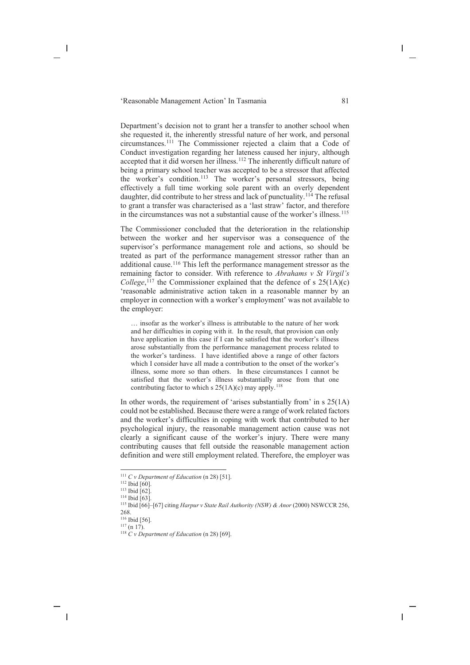Department's decision not to grant her a transfer to another school when she requested it, the inherently stressful nature of her work, and personal circumstances.111 The Commissioner rejected a claim that a Code of Conduct investigation regarding her lateness caused her injury, although accepted that it did worsen her illness.112 The inherently difficult nature of being a primary school teacher was accepted to be a stressor that affected the worker's condition.113 The worker's personal stressors, being effectively a full time working sole parent with an overly dependent daughter, did contribute to her stress and lack of punctuality.114 The refusal to grant a transfer was characterised as a 'last straw' factor, and therefore in the circumstances was not a substantial cause of the worker's illness.<sup>115</sup>

The Commissioner concluded that the deterioration in the relationship between the worker and her supervisor was a consequence of the supervisor's performance management role and actions, so should be treated as part of the performance management stressor rather than an additional cause.116 This left the performance management stressor as the remaining factor to consider. With reference to *Abrahams v St Virgil's College*,<sup>117</sup> the Commissioner explained that the defence of s  $25(1A)(c)$ 'reasonable administrative action taken in a reasonable manner by an employer in connection with a worker's employment' was not available to the employer:

… insofar as the worker's illness is attributable to the nature of her work and her difficulties in coping with it. In the result, that provision can only have application in this case if I can be satisfied that the worker's illness arose substantially from the performance management process related to the worker's tardiness. I have identified above a range of other factors which I consider have all made a contribution to the onset of the worker's illness, some more so than others. In these circumstances I cannot be satisfied that the worker's illness substantially arose from that one contributing factor to which s  $25(1A)(c)$  may apply.<sup>118</sup>

In other words, the requirement of 'arises substantially from' in s 25(1A) could not be established. Because there were a range of work related factors and the worker's difficulties in coping with work that contributed to her psychological injury, the reasonable management action cause was not clearly a significant cause of the worker's injury. There were many contributing causes that fell outside the reasonable management action definition and were still employment related. Therefore, the employer was

 $\frac{116}{117}$  [hid [56].

<sup>111</sup> *C v Department of Education* (n 28) [51].

<sup>112</sup> Ibid [60].

<sup>113</sup> Ibid [62].

<sup>114</sup> Ibid [63].

<sup>115</sup> Ibid [66]–[67] citing *Harpur v State Rail Authority (NSW) & Anor* (2000) NSWCCR 256, 268.

<sup>&</sup>lt;sup>118</sup>  $C$  *v* Department of Education (n 28) [69].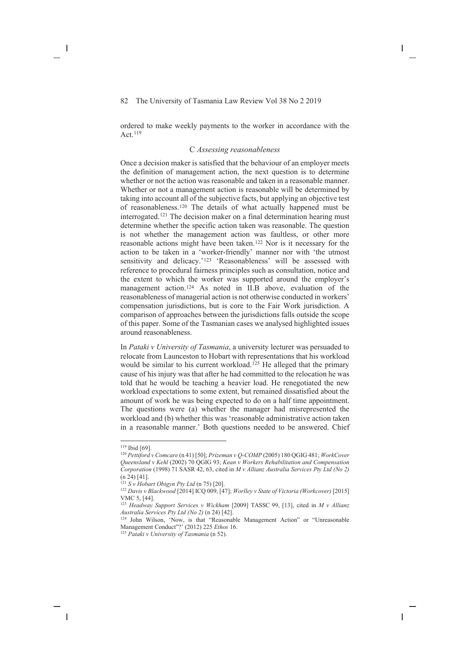ordered to make weekly payments to the worker in accordance with the Act  $119$ 

#### C *Assessing reasonableness*

Once a decision maker is satisfied that the behaviour of an employer meets the definition of management action, the next question is to determine whether or not the action was reasonable and taken in a reasonable manner. Whether or not a management action is reasonable will be determined by taking into account all of the subjective facts, but applying an objective test of reasonableness.<sup>120</sup> The details of what actually happened must be interrogated.<sup>121</sup> The decision maker on a final determination hearing must determine whether the specific action taken was reasonable. The question is not whether the management action was faultless, or other more reasonable actions might have been taken.<sup>122</sup> Nor is it necessary for the action to be taken in a 'worker-friendly' manner nor with 'the utmost sensitivity and delicacy.'<sup>123</sup> 'Reasonableness' will be assessed with reference to procedural fairness principles such as consultation, notice and the extent to which the worker was supported around the employer's management action.<sup>124</sup> As noted in II.B above, evaluation of the reasonableness of managerial action is not otherwise conducted in workers' compensation jurisdictions, but is core to the Fair Work jurisdiction. A comparison of approaches between the jurisdictions falls outside the scope of this paper. Some of the Tasmanian cases we analysed highlighted issues around reasonableness.

In *Pataki v University of Tasmania*, a university lecturer was persuaded to relocate from Launceston to Hobart with representations that his workload would be similar to his current workload.<sup>125</sup> He alleged that the primary cause of his injury was that after he had committed to the relocation he was told that he would be teaching a heavier load. He renegotiated the new workload expectations to some extent, but remained dissatisfied about the amount of work he was being expected to do on a half time appointment. The questions were (a) whether the manager had misrepresented the workload and (b) whether this was 'reasonable administrative action taken in a reasonable manner.' Both questions needed to be answered. Chief

<sup>119</sup> Ibid [69].

<sup>120</sup> *Pettiford v Comcare* (n 41) [50]; *Prizeman v Q-COMP* (2005) 180 QGIG 481; *WorkCover Queensland v Kehl* (2002) 70 QGIG 93; *Kean v Workers Rehabilitation and Compensation Corporation* (1998) 71 SASR 42, 63, cited in *M v Allianz Australia Services Pty Ltd (No 2)*  (n 24) [41].

<sup>121</sup> *S v Hobart Obigyn Pty Ltd* (n 75) [20].

<sup>122</sup> *Davis v Blackwood* [2014] ICQ 009, [47]; *Worlley v State of Victoria (Workcover)* [2015] VMC 5, [44].

<sup>123</sup> *Headway Support Services v Wickham* [2009] TASSC 99, [13], cited in *M v Allianz Australia Services Pty Ltd (No 2)* (n 24) [42].

<sup>124</sup> John Wilson, 'Now, is that "Reasonable Management Action" or "Unreasonable Management Conduct"?' (2012) 225 *Ethos* 16.

<sup>125</sup> *Pataki v University of Tasmania* (n 52).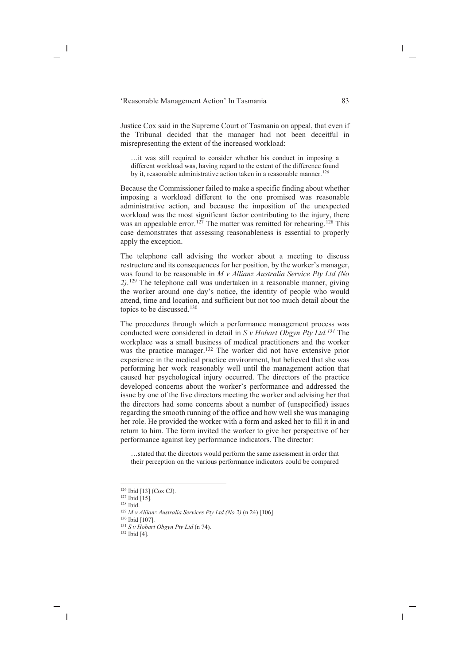Justice Cox said in the Supreme Court of Tasmania on appeal, that even if the Tribunal decided that the manager had not been deceitful in misrepresenting the extent of the increased workload:

…it was still required to consider whether his conduct in imposing a different workload was, having regard to the extent of the difference found by it, reasonable administrative action taken in a reasonable manner.<sup>126</sup>

Because the Commissioner failed to make a specific finding about whether imposing a workload different to the one promised was reasonable administrative action, and because the imposition of the unexpected workload was the most significant factor contributing to the injury, there was an appealable error.<sup>127</sup> The matter was remitted for rehearing.<sup>128</sup> This case demonstrates that assessing reasonableness is essential to properly apply the exception.

The telephone call advising the worker about a meeting to discuss restructure and its consequences for her position*,* by the worker's manager, was found to be reasonable in *M v Allianz Australia Service Pty Ltd (No 2)*. <sup>129</sup> The telephone call was undertaken in a reasonable manner, giving the worker around one day's notice, the identity of people who would attend, time and location, and sufficient but not too much detail about the topics to be discussed.130

The procedures through which a performance management process was conducted were considered in detail in *S v Hobart Obgyn Pty Ltd. <sup>131</sup>* The workplace was a small business of medical practitioners and the worker was the practice manager.<sup>132</sup> The worker did not have extensive prior experience in the medical practice environment, but believed that she was performing her work reasonably well until the management action that caused her psychological injury occurred. The directors of the practice developed concerns about the worker's performance and addressed the issue by one of the five directors meeting the worker and advising her that the directors had some concerns about a number of (unspecified) issues regarding the smooth running of the office and how well she was managing her role. He provided the worker with a form and asked her to fill it in and return to him. The form invited the worker to give her perspective of her performance against key performance indicators. The director:

…stated that the directors would perform the same assessment in order that their perception on the various performance indicators could be compared

<sup>126</sup> Ibid [13] (Cox CJ).

<sup>127</sup> Ibid [15]. <sup>128</sup> Ibid.

<sup>129</sup> *M v Allianz Australia Services Pty Ltd (No 2)* (n 24) [106].

<sup>130</sup> Ibid [107].

<sup>131</sup> *S v Hobart Obgyn Pty Ltd* (n 74). 132 Ibid [4].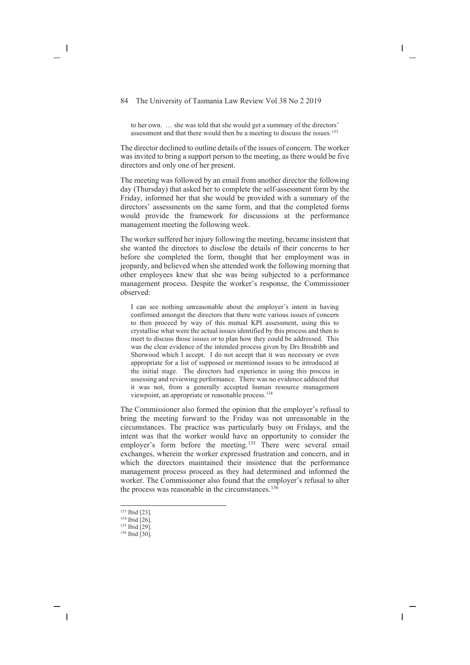to her own. … she was told that she would get a summary of the directors' assessment and that there would then be a meeting to discuss the issues.<sup>133</sup>

The director declined to outline details of the issues of concern. The worker was invited to bring a support person to the meeting, as there would be five directors and only one of her present.

The meeting was followed by an email from another director the following day (Thursday) that asked her to complete the self-assessment form by the Friday, informed her that she would be provided with a summary of the directors' assessments on the same form, and that the completed forms would provide the framework for discussions at the performance management meeting the following week.

The worker suffered her injury following the meeting, became insistent that she wanted the directors to disclose the details of their concerns to her before she completed the form, thought that her employment was in jeopardy, and believed when she attended work the following morning that other employees knew that she was being subjected to a performance management process. Despite the worker's response, the Commissioner observed:

I can see nothing unreasonable about the employer's intent in having confirmed amongst the directors that there were various issues of concern to then proceed by way of this mutual KPI assessment, using this to crystallise what were the actual issues identified by this process and then to meet to discuss those issues or to plan how they could be addressed. This was the clear evidence of the intended process given by Drs Brodribb and Sherwood which I accept. I do not accept that it was necessary or even appropriate for a list of supposed or mentioned issues to be introduced at the initial stage. The directors had experience in using this process in assessing and reviewing performance. There was no evidence adduced that it was not, from a generally accepted human resource management viewpoint, an appropriate or reasonable process.134

The Commissioner also formed the opinion that the employer's refusal to bring the meeting forward to the Friday was not unreasonable in the circumstances. The practice was particularly busy on Fridays, and the intent was that the worker would have an opportunity to consider the employer's form before the meeting.<sup>135</sup> There were several email exchanges, wherein the worker expressed frustration and concern, and in which the directors maintained their insistence that the performance management process proceed as they had determined and informed the worker. The Commissioner also found that the employer's refusal to alter the process was reasonable in the circumstances.<sup>136</sup>

<sup>136</sup> Ibid [30].

<sup>133</sup> Ibid [23].

<sup>134</sup> Ibid [26].

 $135$  Ibid [29].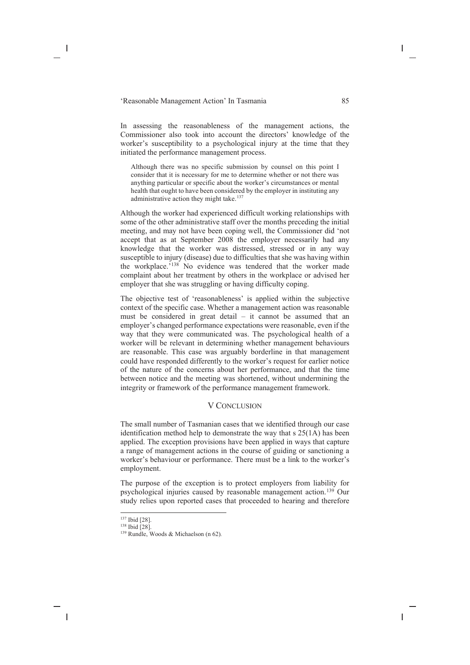In assessing the reasonableness of the management actions, the Commissioner also took into account the directors' knowledge of the worker's susceptibility to a psychological injury at the time that they initiated the performance management process.

Although there was no specific submission by counsel on this point I consider that it is necessary for me to determine whether or not there was anything particular or specific about the worker's circumstances or mental health that ought to have been considered by the employer in instituting any administrative action they might take.<sup>137</sup>

Although the worker had experienced difficult working relationships with some of the other administrative staff over the months preceding the initial meeting, and may not have been coping well, the Commissioner did 'not accept that as at September 2008 the employer necessarily had any knowledge that the worker was distressed, stressed or in any way susceptible to injury (disease) due to difficulties that she was having within the workplace.'138 No evidence was tendered that the worker made complaint about her treatment by others in the workplace or advised her employer that she was struggling or having difficulty coping.

The objective test of 'reasonableness' is applied within the subjective context of the specific case. Whether a management action was reasonable must be considered in great detail – it cannot be assumed that an employer's changed performance expectations were reasonable, even if the way that they were communicated was. The psychological health of a worker will be relevant in determining whether management behaviours are reasonable. This case was arguably borderline in that management could have responded differently to the worker's request for earlier notice of the nature of the concerns about her performance, and that the time between notice and the meeting was shortened, without undermining the integrity or framework of the performance management framework.

## V CONCLUSION

The small number of Tasmanian cases that we identified through our case identification method help to demonstrate the way that s 25(1A) has been applied. The exception provisions have been applied in ways that capture a range of management actions in the course of guiding or sanctioning a worker's behaviour or performance. There must be a link to the worker's employment.

The purpose of the exception is to protect employers from liability for psychological injuries caused by reasonable management action.139 Our study relies upon reported cases that proceeded to hearing and therefore

<sup>137</sup> Ibid [28].

<sup>138</sup> Ibid [28].

<sup>139</sup> Rundle, Woods & Michaelson (n 62)*.*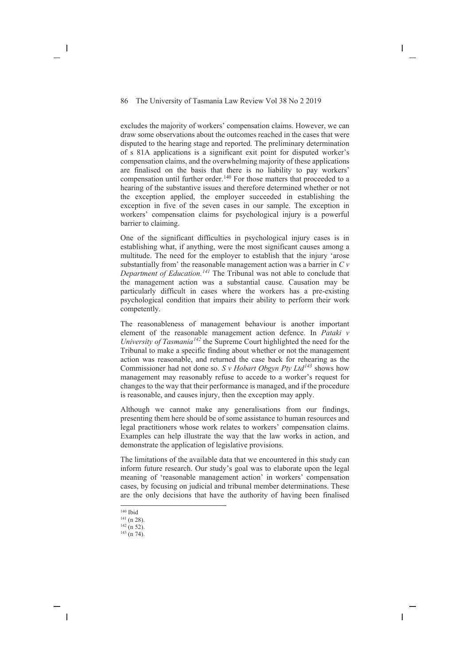excludes the majority of workers' compensation claims. However, we can draw some observations about the outcomes reached in the cases that were disputed to the hearing stage and reported. The preliminary determination of s 81A applications is a significant exit point for disputed worker's compensation claims, and the overwhelming majority of these applications are finalised on the basis that there is no liability to pay workers' compensation until further order.140 For those matters that proceeded to a hearing of the substantive issues and therefore determined whether or not the exception applied, the employer succeeded in establishing the exception in five of the seven cases in our sample. The exception in workers' compensation claims for psychological injury is a powerful barrier to claiming.

One of the significant difficulties in psychological injury cases is in establishing what, if anything, were the most significant causes among a multitude. The need for the employer to establish that the injury 'arose substantially from' the reasonable management action was a barrier in *C v Department of Education.<sup>141</sup>* The Tribunal was not able to conclude that the management action was a substantial cause. Causation may be particularly difficult in cases where the workers has a pre-existing psychological condition that impairs their ability to perform their work competently.

The reasonableness of management behaviour is another important element of the reasonable management action defence. In *Pataki v University of Tasmania<sup>142</sup>* the Supreme Court highlighted the need for the Tribunal to make a specific finding about whether or not the management action was reasonable, and returned the case back for rehearing as the Commissioner had not done so. *S v Hobart Obgyn Pty Ltd<sup>143</sup>* shows how management may reasonably refuse to accede to a worker's request for changes to the way that their performance is managed, and if the procedure is reasonable, and causes injury, then the exception may apply.

Although we cannot make any generalisations from our findings, presenting them here should be of some assistance to human resources and legal practitioners whose work relates to workers' compensation claims. Examples can help illustrate the way that the law works in action, and demonstrate the application of legislative provisions.

The limitations of the available data that we encountered in this study can inform future research. Our study's goal was to elaborate upon the legal meaning of 'reasonable management action' in workers' compensation cases, by focusing on judicial and tribunal member determinations. These are the only decisions that have the authority of having been finalised

<sup>140</sup> Ibid

 $\frac{141}{142}$  (n 28).<br>  $\frac{142}{143}$  (n 74).